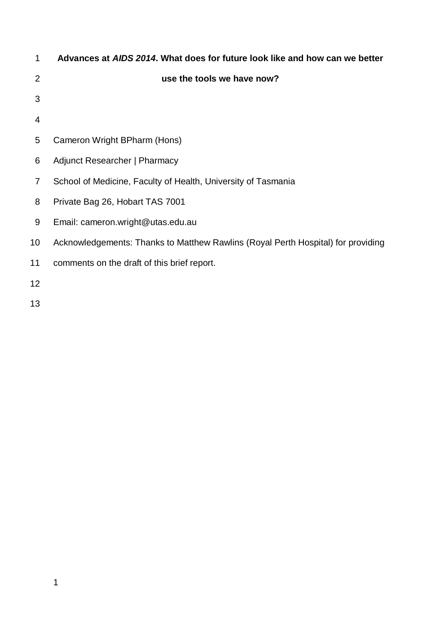| 1  | Advances at AIDS 2014. What does for future look like and how can we better      |
|----|----------------------------------------------------------------------------------|
| 2  | use the tools we have now?                                                       |
| 3  |                                                                                  |
| 4  |                                                                                  |
| 5  | Cameron Wright BPharm (Hons)                                                     |
| 6  | Adjunct Researcher   Pharmacy                                                    |
| 7  | School of Medicine, Faculty of Health, University of Tasmania                    |
| 8  | Private Bag 26, Hobart TAS 7001                                                  |
| 9  | Email: cameron.wright@utas.edu.au                                                |
| 10 | Acknowledgements: Thanks to Matthew Rawlins (Royal Perth Hospital) for providing |
| 11 | comments on the draft of this brief report.                                      |
| 12 |                                                                                  |
| 13 |                                                                                  |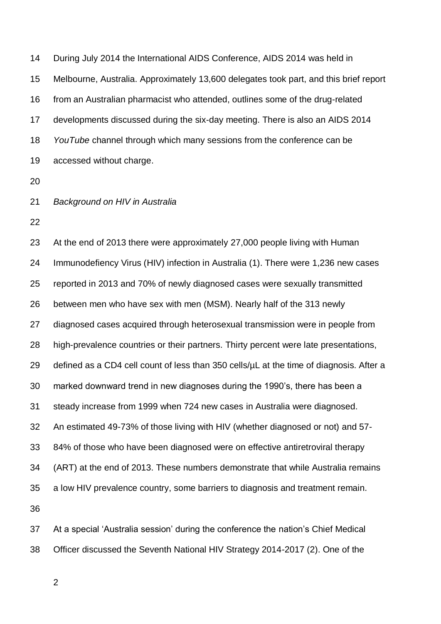During July 2014 the International AIDS Conference, AIDS 2014 was held in Melbourne, Australia. Approximately 13,600 delegates took part, and this brief report from an Australian pharmacist who attended, outlines some of the drug-related developments discussed during the six-day meeting. There is also an AIDS 2014 *YouTube* channel through which many sessions from the conference can be accessed without charge.

- 
- *Background on HIV in Australia*
- 

 At the end of 2013 there were approximately 27,000 people living with Human Immunodefiency Virus (HIV) infection in Australia (1). There were 1,236 new cases reported in 2013 and 70% of newly diagnosed cases were sexually transmitted between men who have sex with men (MSM). Nearly half of the 313 newly diagnosed cases acquired through heterosexual transmission were in people from high-prevalence countries or their partners. Thirty percent were late presentations, 29 defined as a CD4 cell count of less than cells/ $\mu$ L at the time of diagnosis. After a marked downward trend in new diagnoses during the 1990's, there has been a steady increase from 1999 when 724 new cases in Australia were diagnosed. An estimated 49-73% of those living with HIV (whether diagnosed or not) and 57- 84% of those who have been diagnosed were on effective antiretroviral therapy (ART) at the end of 2013. These numbers demonstrate that while Australia remains a low HIV prevalence country, some barriers to diagnosis and treatment remain. 

 At a special 'Australia session' during the conference the nation's Chief Medical Officer discussed the Seventh National HIV Strategy 2014-2017 (2). One of the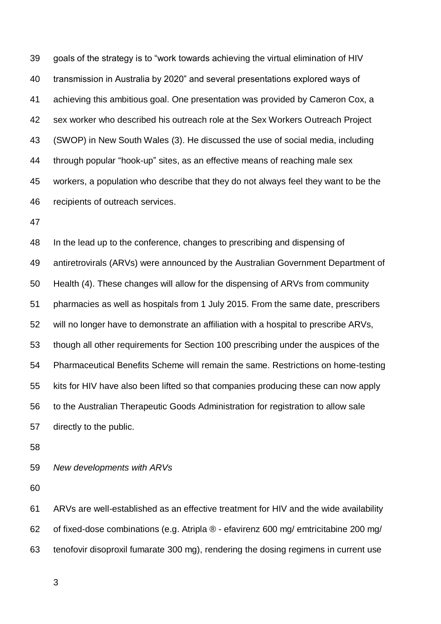goals of the strategy is to "work towards achieving the virtual elimination of HIV transmission in Australia by 2020" and several presentations explored ways of achieving this ambitious goal. One presentation was provided by Cameron Cox, a sex worker who described his outreach role at the Sex Workers Outreach Project (SWOP) in New South Wales (3). He discussed the use of social media, including through popular "hook-up" sites, as an effective means of reaching male sex workers, a population who describe that they do not always feel they want to be the recipients of outreach services.

 In the lead up to the conference, changes to prescribing and dispensing of antiretrovirals (ARVs) were announced by the Australian Government Department of Health (4). These changes will allow for the dispensing of ARVs from community pharmacies as well as hospitals from 1 July 2015. From the same date, prescribers will no longer have to demonstrate an affiliation with a hospital to prescribe ARVs, though all other requirements for Section 100 prescribing under the auspices of the Pharmaceutical Benefits Scheme will remain the same. Restrictions on home-testing kits for HIV have also been lifted so that companies producing these can now apply to the Australian Therapeutic Goods Administration for registration to allow sale directly to the public.

*New developments with ARVs* 

 ARVs are well-established as an effective treatment for HIV and the wide availability of fixed-dose combinations (e.g. Atripla ® - efavirenz 600 mg/ emtricitabine 200 mg/ tenofovir disoproxil fumarate 300 mg), rendering the dosing regimens in current use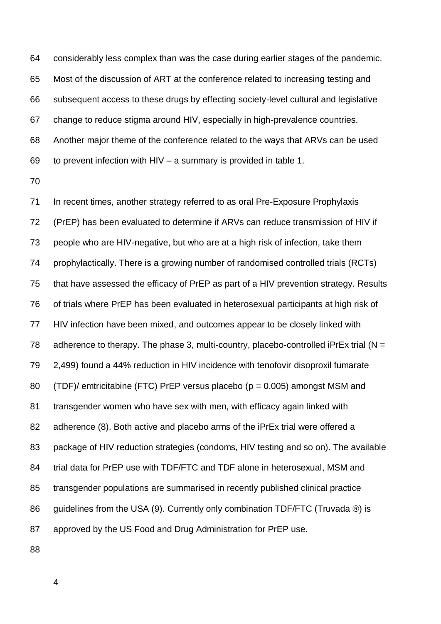considerably less complex than was the case during earlier stages of the pandemic. Most of the discussion of ART at the conference related to increasing testing and subsequent access to these drugs by effecting society-level cultural and legislative change to reduce stigma around HIV, especially in high-prevalence countries. Another major theme of the conference related to the ways that ARVs can be used to prevent infection with HIV – a summary is provided in table 1.

 In recent times, another strategy referred to as oral Pre-Exposure Prophylaxis (PrEP) has been evaluated to determine if ARVs can reduce transmission of HIV if people who are HIV-negative, but who are at a high risk of infection, take them prophylactically. There is a growing number of randomised controlled trials (RCTs) that have assessed the efficacy of PrEP as part of a HIV prevention strategy. Results of trials where PrEP has been evaluated in heterosexual participants at high risk of HIV infection have been mixed, and outcomes appear to be closely linked with 78 adherence to therapy. The phase 3, multi-country, placebo-controlled iPrEx trial ( $N =$  2,499) found a 44% reduction in HIV incidence with tenofovir disoproxil fumarate (TDF)/ emtricitabine (FTC) PrEP versus placebo (p = 0.005) amongst MSM and transgender women who have sex with men, with efficacy again linked with adherence (8). Both active and placebo arms of the iPrEx trial were offered a package of HIV reduction strategies (condoms, HIV testing and so on). The available trial data for PrEP use with TDF/FTC and TDF alone in heterosexual, MSM and transgender populations are summarised in recently published clinical practice 86 guidelines from the USA (9). Currently only combination TDF/FTC (Truvada ®) is approved by the US Food and Drug Administration for PrEP use.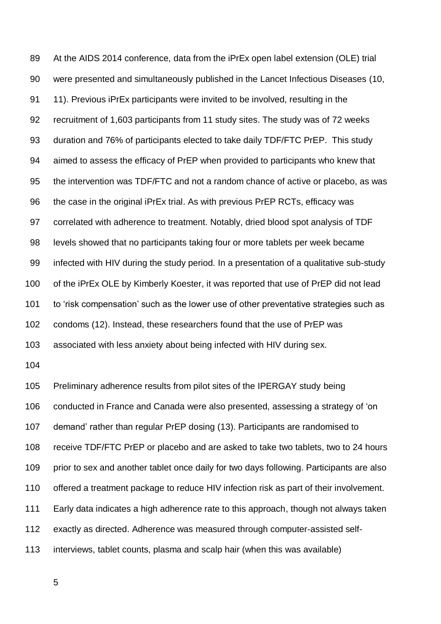At the AIDS 2014 conference, data from the iPrEx open label extension (OLE) trial were presented and simultaneously published in the Lancet Infectious Diseases (10, 11). Previous iPrEx participants were invited to be involved, resulting in the recruitment of 1,603 participants from 11 study sites. The study was of 72 weeks duration and 76% of participants elected to take daily TDF/FTC PrEP. This study aimed to assess the efficacy of PrEP when provided to participants who knew that the intervention was TDF/FTC and not a random chance of active or placebo, as was the case in the original iPrEx trial. As with previous PrEP RCTs, efficacy was correlated with adherence to treatment. Notably, dried blood spot analysis of TDF levels showed that no participants taking four or more tablets per week became infected with HIV during the study period. In a presentation of a qualitative sub-study of the iPrEx OLE by Kimberly Koester, it was reported that use of PrEP did not lead to 'risk compensation' such as the lower use of other preventative strategies such as condoms (12). Instead, these researchers found that the use of PrEP was associated with less anxiety about being infected with HIV during sex.

 Preliminary adherence results from pilot sites of the IPERGAY study being conducted in France and Canada were also presented, assessing a strategy of 'on demand' rather than regular PrEP dosing (13). Participants are randomised to receive TDF/FTC PrEP or placebo and are asked to take two tablets, two to 24 hours 109 prior to sex and another tablet once daily for two days following. Participants are also offered a treatment package to reduce HIV infection risk as part of their involvement. Early data indicates a high adherence rate to this approach, though not always taken exactly as directed. Adherence was measured through computer-assisted self-interviews, tablet counts, plasma and scalp hair (when this was available)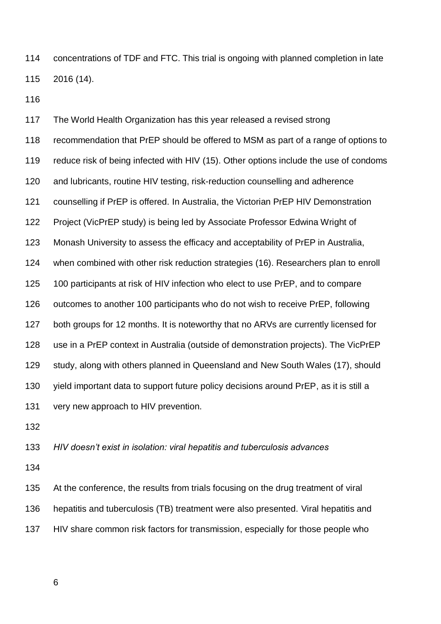concentrations of TDF and FTC. This trial is ongoing with planned completion in late 2016 (14).

 The World Health Organization has this year released a revised strong recommendation that PrEP should be offered to MSM as part of a range of options to reduce risk of being infected with HIV (15). Other options include the use of condoms and lubricants, routine HIV testing, risk-reduction counselling and adherence counselling if PrEP is offered. In Australia, the Victorian PrEP HIV Demonstration Project (VicPrEP study) is being led by Associate Professor Edwina Wright of Monash University to assess the efficacy and acceptability of PrEP in Australia, when combined with other risk reduction strategies (16). Researchers plan to enroll 100 participants at risk of HIV infection who elect to use PrEP, and to compare outcomes to another 100 participants who do not wish to receive PrEP, following both groups for 12 months. It is noteworthy that no ARVs are currently licensed for use in a PrEP context in Australia (outside of demonstration projects). The VicPrEP study, along with others planned in Queensland and New South Wales (17), should yield important data to support future policy decisions around PrEP, as it is still a very new approach to HIV prevention.

*HIV doesn't exist in isolation: viral hepatitis and tuberculosis advances* 

 At the conference, the results from trials focusing on the drug treatment of viral hepatitis and tuberculosis (TB) treatment were also presented. Viral hepatitis and HIV share common risk factors for transmission, especially for those people who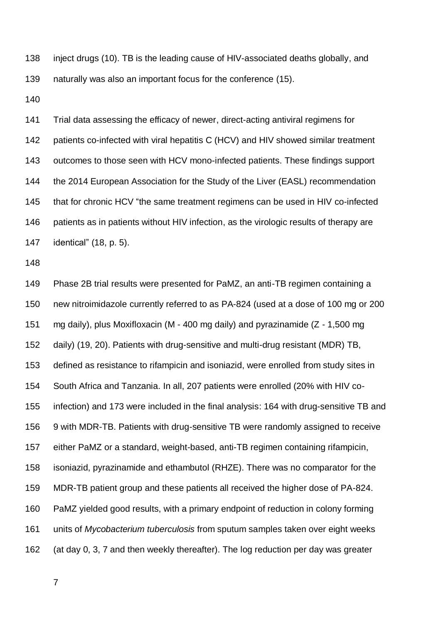inject drugs (10). TB is the leading cause of HIV-associated deaths globally, and naturally was also an important focus for the conference (15).

 Trial data assessing the efficacy of newer, direct-acting antiviral regimens for 142 patients co-infected with viral hepatitis C (HCV) and HIV showed similar treatment outcomes to those seen with HCV mono-infected patients. These findings support the 2014 European Association for the Study of the Liver (EASL) recommendation that for chronic HCV "the same treatment regimens can be used in HIV co-infected 146 patients as in patients without HIV infection, as the virologic results of therapy are identical" (18, p. 5).

 Phase 2B trial results were presented for PaMZ, an anti-TB regimen containing a new nitroimidazole currently referred to as PA-824 (used at a dose of 100 mg or 200 mg daily), plus Moxifloxacin (M - 400 mg daily) and pyrazinamide (Z - 1,500 mg daily) (19, 20). Patients with drug-sensitive and multi-drug resistant (MDR) TB, defined as resistance to rifampicin and isoniazid, were enrolled from study sites in South Africa and Tanzania. In all, 207 patients were enrolled (20% with HIV co- infection) and 173 were included in the final analysis: 164 with drug-sensitive TB and 9 with MDR-TB. Patients with drug-sensitive TB were randomly assigned to receive either PaMZ or a standard, weight-based, anti-TB regimen containing rifampicin, isoniazid, pyrazinamide and ethambutol (RHZE). There was no comparator for the MDR-TB patient group and these patients all received the higher dose of PA-824. PaMZ yielded good results, with a primary endpoint of reduction in colony forming units of *Mycobacterium tuberculosis* from sputum samples taken over eight weeks (at day 0, 3, 7 and then weekly thereafter). The log reduction per day was greater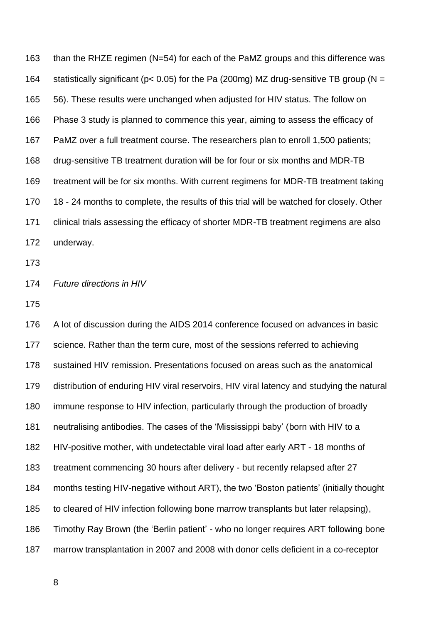than the RHZE regimen (N=54) for each of the PaMZ groups and this difference was 164 statistically significant ( $p < 0.05$ ) for the Pa (200mg) MZ drug-sensitive TB group ( $N =$  56). These results were unchanged when adjusted for HIV status. The follow on Phase 3 study is planned to commence this year, aiming to assess the efficacy of PaMZ over a full treatment course. The researchers plan to enroll 1,500 patients; drug-sensitive TB treatment duration will be for four or six months and MDR-TB treatment will be for six months. With current regimens for MDR-TB treatment taking 170 18 - 24 months to complete, the results of this trial will be watched for closely. Other clinical trials assessing the efficacy of shorter MDR-TB treatment regimens are also underway.

## *Future directions in HIV*

 A lot of discussion during the AIDS 2014 conference focused on advances in basic science. Rather than the term cure, most of the sessions referred to achieving sustained HIV remission. Presentations focused on areas such as the anatomical distribution of enduring HIV viral reservoirs, HIV viral latency and studying the natural immune response to HIV infection, particularly through the production of broadly neutralising antibodies. The cases of the 'Mississippi baby' (born with HIV to a HIV-positive mother, with undetectable viral load after early ART - 18 months of treatment commencing 30 hours after delivery - but recently relapsed after 27 months testing HIV-negative without ART), the two 'Boston patients' (initially thought to cleared of HIV infection following bone marrow transplants but later relapsing), Timothy Ray Brown (the 'Berlin patient' - who no longer requires ART following bone marrow transplantation in 2007 and 2008 with donor cells deficient in a co-receptor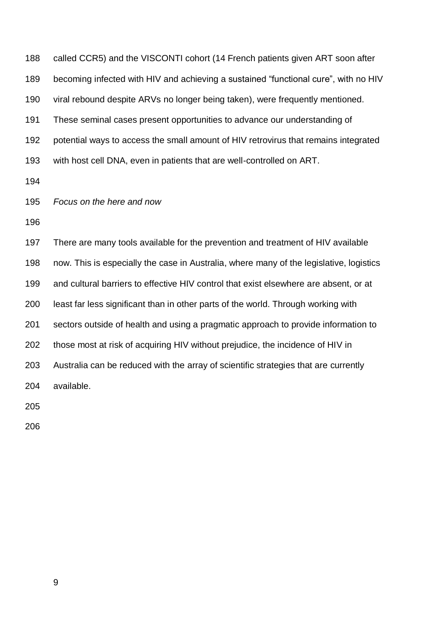| 188 | called CCR5) and the VISCONTI cohort (14 French patients given ART soon after           |
|-----|-----------------------------------------------------------------------------------------|
| 189 | becoming infected with HIV and achieving a sustained "functional cure", with no HIV     |
| 190 | viral rebound despite ARVs no longer being taken), were frequently mentioned.           |
| 191 | These seminal cases present opportunities to advance our understanding of               |
| 192 | potential ways to access the small amount of HIV retrovirus that remains integrated     |
| 193 | with host cell DNA, even in patients that are well-controlled on ART.                   |
| 194 |                                                                                         |
| 195 | Focus on the here and now                                                               |
| 196 |                                                                                         |
| 197 | There are many tools available for the prevention and treatment of HIV available        |
| 198 | now. This is especially the case in Australia, where many of the legislative, logistics |
| 199 | and cultural barriers to effective HIV control that exist elsewhere are absent, or at   |
| 200 | least far less significant than in other parts of the world. Through working with       |
| 201 | sectors outside of health and using a pragmatic approach to provide information to      |
| 202 | those most at risk of acquiring HIV without prejudice, the incidence of HIV in          |

Australia can be reduced with the array of scientific strategies that are currently

available.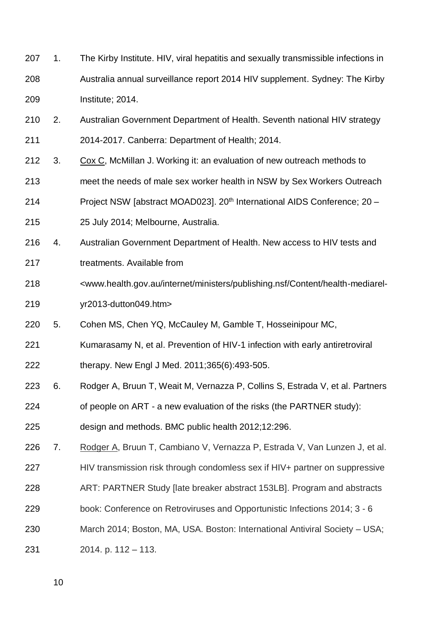- 207 1. The Kirby Institute. HIV, viral hepatitis and sexually transmissible infections in Australia annual surveillance report 2014 HIV supplement. Sydney: The Kirby Institute; 2014.
- 210 2. Australian Government Department of Health. Seventh national HIV strategy 2014-2017. Canberra: Department of Health; 2014.
- 3. Cox C, McMillan J. Working it: an evaluation of new outreach methods to
- meet the needs of male sex worker health in NSW by Sex Workers Outreach
- 214 Project NSW [abstract MOAD023]. 20<sup>th</sup> International AIDS Conference; 20 –
- 25 July 2014; Melbourne, Australia.
- 4. Australian Government Department of Health. New access to HIV tests and
- treatments. Available from
- <www.health.gov.au/internet/ministers/publishing.nsf/Content/health-mediarel-
- yr2013-dutton049.htm>
- 5. Cohen MS, Chen YQ, McCauley M, Gamble T, Hosseinipour MC,
- Kumarasamy N, et al. Prevention of HIV-1 infection with early antiretroviral
- therapy. New Engl J Med. 2011;365(6):493-505.
- 6. Rodger A, Bruun T, Weait M, Vernazza P, Collins S, Estrada V, et al. Partners
- of people on ART a new evaluation of the risks (the PARTNER study):
- design and methods. BMC public health 2012;12:296.
- 7. Rodger A, Bruun T, Cambiano V, Vernazza P, Estrada V, Van Lunzen J, et al.
- HIV transmission risk through condomless sex if HIV+ partner on suppressive
- ART: PARTNER Study [late breaker abstract 153LB]. Program and abstracts
- book: Conference on Retroviruses and Opportunistic Infections 2014; 3 6
- March 2014; Boston, MA, USA. Boston: International Antiviral Society USA;
- 2014. p. 112 113.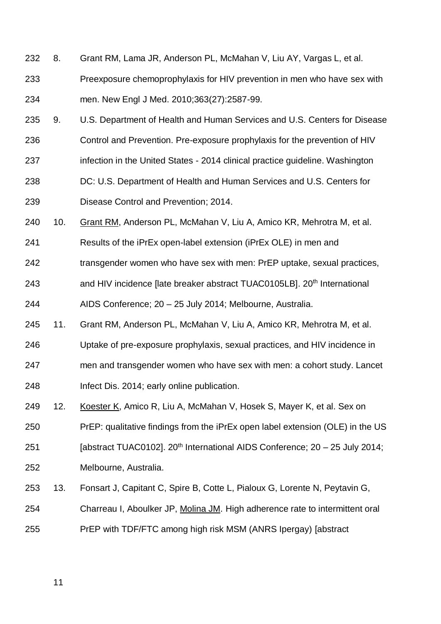- 8. Grant RM, Lama JR, Anderson PL, McMahan V, Liu AY, Vargas L, et al.
- Preexposure chemoprophylaxis for HIV prevention in men who have sex with men. New Engl J Med. 2010;363(27):2587-99.
- 9. U.S. Department of Health and Human Services and U.S. Centers for Disease
- Control and Prevention. Pre-exposure prophylaxis for the prevention of HIV
- 237 infection in the United States 2014 clinical practice guideline. Washington
- DC: U.S. Department of Health and Human Services and U.S. Centers for Disease Control and Prevention; 2014.
- 10. Grant RM, Anderson PL, McMahan V, Liu A, Amico KR, Mehrotra M, et al.
- Results of the iPrEx open-label extension (iPrEx OLE) in men and
- transgender women who have sex with men: PrEP uptake, sexual practices,
- 243 and HIV incidence [late breaker abstract TUAC0105LB]. 20<sup>th</sup> International
- AIDS Conference; 20 25 July 2014; Melbourne, Australia.
- 11. Grant RM, Anderson PL, McMahan V, Liu A, Amico KR, Mehrotra M, et al.
- Uptake of pre-exposure prophylaxis, sexual practices, and HIV incidence in
- men and transgender women who have sex with men: a cohort study. Lancet
- Infect Dis. 2014; early online publication.
- 12. Koester K, Amico R, Liu A, McMahan V, Hosek S, Mayer K, et al. Sex on
- PrEP: qualitative findings from the iPrEx open label extension (OLE) in the US
- 251 [abstract TUAC0102].  $20<sup>th</sup>$  International AIDS Conference;  $20 25$  July 2014;
- Melbourne, Australia.
- 13. Fonsart J, Capitant C, Spire B, Cotte L, Pialoux G, Lorente N, Peytavin G,
- Charreau I, Aboulker JP, Molina JM. High adherence rate to intermittent oral
- PrEP with TDF/FTC among high risk MSM (ANRS Ipergay) [abstract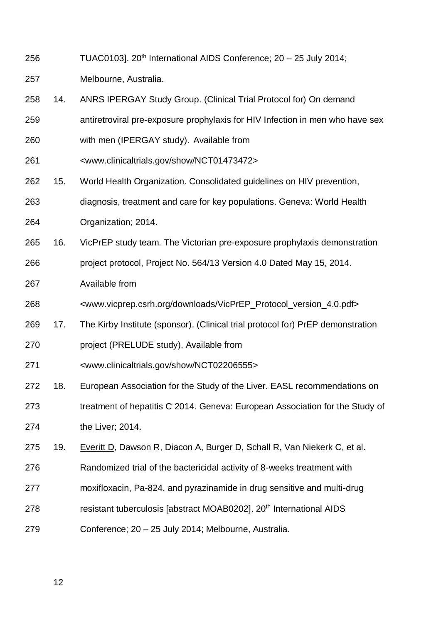256 TUAC0103].  $20<sup>th</sup>$  International AIDS Conference;  $20 - 25$  July 2014;

Melbourne, Australia.

- 14. ANRS IPERGAY Study Group. (Clinical Trial Protocol for) On demand
- antiretroviral pre-exposure prophylaxis for HIV Infection in men who have sex
- with men (IPERGAY study). Available from
- <www.clinicaltrials.gov/show/NCT01473472>
- 15. World Health Organization. Consolidated guidelines on HIV prevention,
- diagnosis, treatment and care for key populations. Geneva: World Health
- Organization; 2014.
- 16. VicPrEP study team. The Victorian pre-exposure prophylaxis demonstration
- project protocol, Project No. 564/13 Version 4.0 Dated May 15, 2014.
- Available from
- <www.vicprep.csrh.org/downloads/VicPrEP\_Protocol\_version\_4.0.pdf>
- 17. The Kirby Institute (sponsor). (Clinical trial protocol for) PrEP demonstration
- 270 project (PRELUDE study). Available from
- <www.clinicaltrials.gov/show/NCT02206555>
- 18. European Association for the Study of the Liver. EASL recommendations on
- treatment of hepatitis C 2014. Geneva: European Association for the Study of the Liver; 2014.
- 19. Everitt D, Dawson R, Diacon A, Burger D, Schall R, Van Niekerk C, et al.
- Randomized trial of the bactericidal activity of 8-weeks treatment with
- moxifloxacin, Pa-824, and pyrazinamide in drug sensitive and multi-drug
- 278 resistant tuberculosis [abstract MOAB0202]. 20<sup>th</sup> International AIDS
- Conference; 20 25 July 2014; Melbourne, Australia.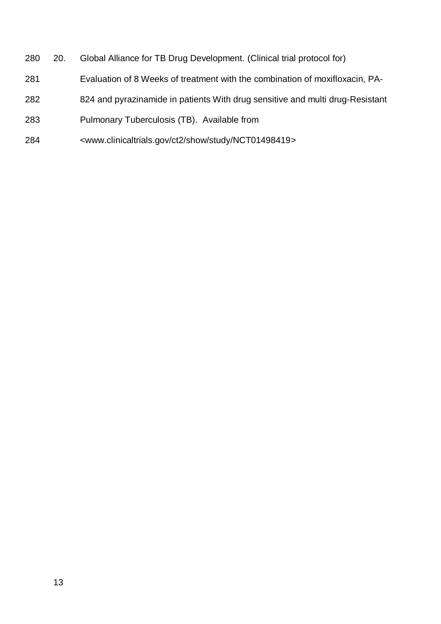- 20. Global Alliance for TB Drug Development. (Clinical trial protocol for)
- Evaluation of 8 Weeks of treatment with the combination of moxifloxacin, PA-
- 824 and pyrazinamide in patients With drug sensitive and multi drug-Resistant
- Pulmonary Tuberculosis (TB). Available from
- <www.clinicaltrials.gov/ct2/show/study/NCT01498419>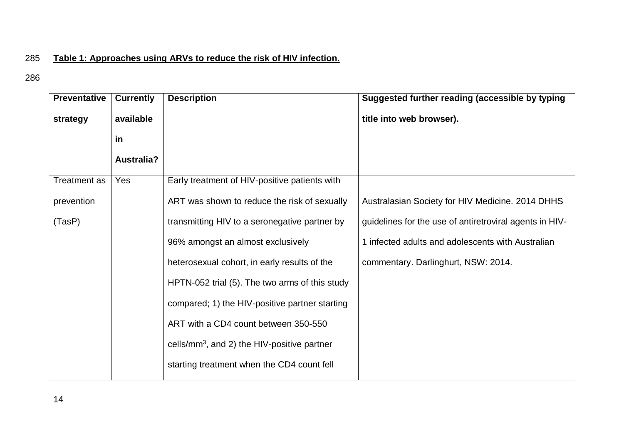## 285 **Table 1: Approaches using ARVs to reduce the risk of HIV infection.**

| <b>Preventative</b> | <b>Currently</b>  | <b>Description</b>                             | Suggested further reading (accessible by typing         |
|---------------------|-------------------|------------------------------------------------|---------------------------------------------------------|
| strategy            | available         |                                                | title into web browser).                                |
|                     | <u>in</u>         |                                                |                                                         |
|                     | <b>Australia?</b> |                                                |                                                         |
| <b>Treatment as</b> | Yes               | Early treatment of HIV-positive patients with  |                                                         |
| prevention          |                   | ART was shown to reduce the risk of sexually   | Australasian Society for HIV Medicine. 2014 DHHS        |
| (TasP)              |                   | transmitting HIV to a seronegative partner by  | guidelines for the use of antiretroviral agents in HIV- |
|                     |                   | 96% amongst an almost exclusively              | 1 infected adults and adolescents with Australian       |
|                     |                   | heterosexual cohort, in early results of the   | commentary. Darlinghurt, NSW: 2014.                     |
|                     |                   | HPTN-052 trial (5). The two arms of this study |                                                         |
|                     |                   | compared; 1) the HIV-positive partner starting |                                                         |
|                     |                   | ART with a CD4 count between 350-550           |                                                         |
|                     |                   | cells/ $mm3$ , and 2) the HIV-positive partner |                                                         |
|                     |                   | starting treatment when the CD4 count fell     |                                                         |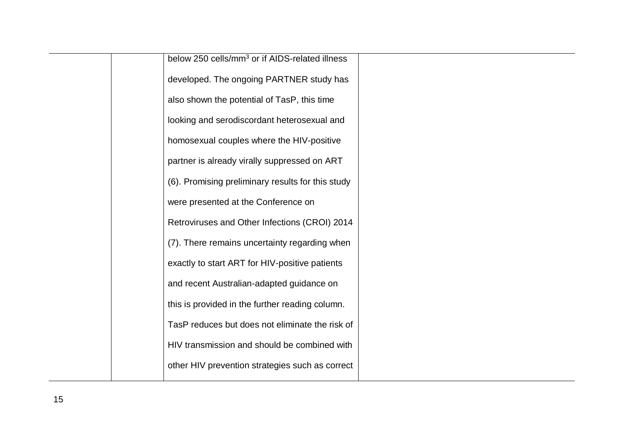|  | below 250 cells/mm <sup>3</sup> or if AIDS-related illness |  |
|--|------------------------------------------------------------|--|
|  | developed. The ongoing PARTNER study has                   |  |
|  | also shown the potential of TasP, this time                |  |
|  | looking and serodiscordant heterosexual and                |  |
|  | homosexual couples where the HIV-positive                  |  |
|  | partner is already virally suppressed on ART               |  |
|  | (6). Promising preliminary results for this study          |  |
|  | were presented at the Conference on                        |  |
|  | Retroviruses and Other Infections (CROI) 2014              |  |
|  | (7). There remains uncertainty regarding when              |  |
|  | exactly to start ART for HIV-positive patients             |  |
|  | and recent Australian-adapted guidance on                  |  |
|  | this is provided in the further reading column.            |  |
|  | TasP reduces but does not eliminate the risk of            |  |
|  | HIV transmission and should be combined with               |  |
|  | other HIV prevention strategies such as correct            |  |
|  |                                                            |  |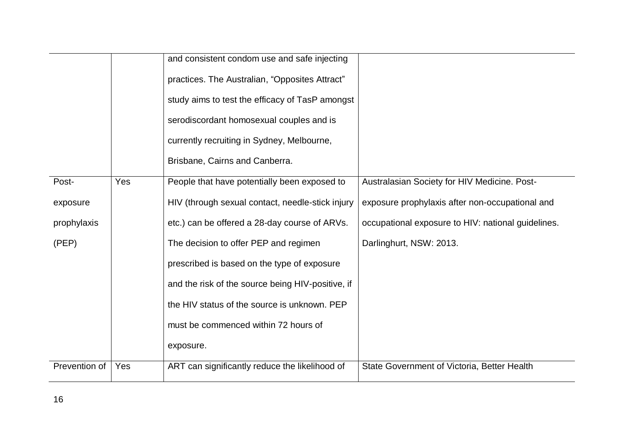|               |     | and consistent condom use and safe injecting      |                                                    |
|---------------|-----|---------------------------------------------------|----------------------------------------------------|
|               |     | practices. The Australian, "Opposites Attract"    |                                                    |
|               |     | study aims to test the efficacy of TasP amongst   |                                                    |
|               |     | serodiscordant homosexual couples and is          |                                                    |
|               |     | currently recruiting in Sydney, Melbourne,        |                                                    |
|               |     | Brisbane, Cairns and Canberra.                    |                                                    |
| Post-         | Yes | People that have potentially been exposed to      | Australasian Society for HIV Medicine. Post-       |
| exposure      |     | HIV (through sexual contact, needle-stick injury  | exposure prophylaxis after non-occupational and    |
| prophylaxis   |     | etc.) can be offered a 28-day course of ARVs.     | occupational exposure to HIV: national guidelines. |
| (PEP)         |     | The decision to offer PEP and regimen             | Darlinghurt, NSW: 2013.                            |
|               |     | prescribed is based on the type of exposure       |                                                    |
|               |     | and the risk of the source being HIV-positive, if |                                                    |
|               |     | the HIV status of the source is unknown. PEP      |                                                    |
|               |     | must be commenced within 72 hours of              |                                                    |
|               |     | exposure.                                         |                                                    |
| Prevention of | Yes | ART can significantly reduce the likelihood of    | State Government of Victoria, Better Health        |